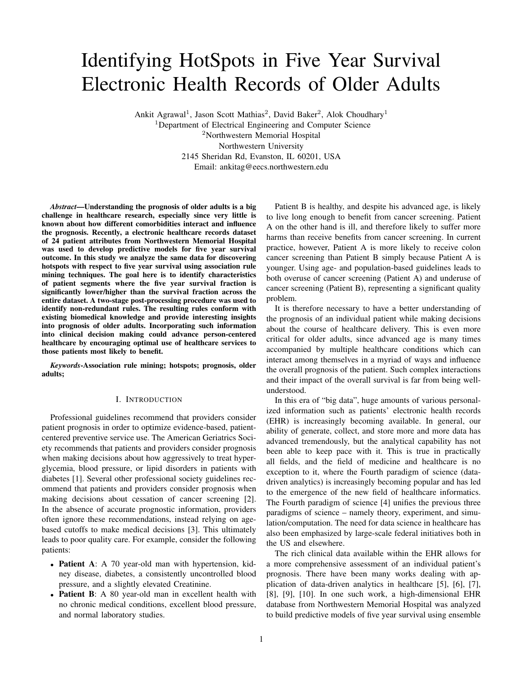# Identifying HotSpots in Five Year Survival Electronic Health Records of Older Adults

Ankit Agrawal<sup>1</sup>, Jason Scott Mathias<sup>2</sup>, David Baker<sup>2</sup>, Alok Choudhary<sup>1</sup> <sup>1</sup>Department of Electrical Engineering and Computer Science <sup>2</sup>Northwestern Memorial Hospital Northwestern University 2145 Sheridan Rd, Evanston, IL 60201, USA Email: ankitag@eecs.northwestern.edu

*Abstract*—Understanding the prognosis of older adults is a big challenge in healthcare research, especially since very little is known about how different comorbidities interact and influence the prognosis. Recently, a electronic healthcare records dataset of 24 patient attributes from Northwestern Memorial Hospital was used to develop predictive models for five year survival outcome. In this study we analyze the same data for discovering hotspots with respect to five year survival using association rule mining techniques. The goal here is to identify characteristics of patient segments where the five year survival fraction is significantly lower/higher than the survival fraction across the entire dataset. A two-stage post-processing procedure was used to identify non-redundant rules. The resulting rules conform with existing biomedical knowledge and provide interesting insights into prognosis of older adults. Incorporating such information into clinical decision making could advance person-centered healthcare by encouraging optimal use of healthcare services to those patients most likely to benefit.

*Keywords*-Association rule mining; hotspots; prognosis, older adults;

# I. INTRODUCTION

Professional guidelines recommend that providers consider patient prognosis in order to optimize evidence-based, patientcentered preventive service use. The American Geriatrics Society recommends that patients and providers consider prognosis when making decisions about how aggressively to treat hyperglycemia, blood pressure, or lipid disorders in patients with diabetes [1]. Several other professional society guidelines recommend that patients and providers consider prognosis when making decisions about cessation of cancer screening [2]. In the absence of accurate prognostic information, providers often ignore these recommendations, instead relying on agebased cutoffs to make medical decisions [3]. This ultimately leads to poor quality care. For example, consider the following patients:

- Patient A: A 70 year-old man with hypertension, kidney disease, diabetes, a consistently uncontrolled blood pressure, and a slightly elevated Creatinine.
- Patient B: A 80 year-old man in excellent health with no chronic medical conditions, excellent blood pressure, and normal laboratory studies.

Patient B is healthy, and despite his advanced age, is likely to live long enough to benefit from cancer screening. Patient A on the other hand is ill, and therefore likely to suffer more harms than receive benefits from cancer screening. In current practice, however, Patient A is more likely to receive colon cancer screening than Patient B simply because Patient A is younger. Using age- and population-based guidelines leads to both overuse of cancer screening (Patient A) and underuse of cancer screening (Patient B), representing a significant quality problem.

It is therefore necessary to have a better understanding of the prognosis of an individual patient while making decisions about the course of healthcare delivery. This is even more critical for older adults, since advanced age is many times accompanied by multiple healthcare conditions which can interact among themselves in a myriad of ways and influence the overall prognosis of the patient. Such complex interactions and their impact of the overall survival is far from being wellunderstood.

In this era of "big data", huge amounts of various personalized information such as patients' electronic health records (EHR) is increasingly becoming available. In general, our ability of generate, collect, and store more and more data has advanced tremendously, but the analytical capability has not been able to keep pace with it. This is true in practically all fields, and the field of medicine and healthcare is no exception to it, where the Fourth paradigm of science (datadriven analytics) is increasingly becoming popular and has led to the emergence of the new field of healthcare informatics. The Fourth paradigm of science [4] unifies the previous three paradigms of science – namely theory, experiment, and simulation/computation. The need for data science in healthcare has also been emphasized by large-scale federal initiatives both in the US and elsewhere.

The rich clinical data available within the EHR allows for a more comprehensive assessment of an individual patient's prognosis. There have been many works dealing with application of data-driven analytics in healthcare [5], [6], [7], [8], [9], [10]. In one such work, a high-dimensional EHR database from Northwestern Memorial Hospital was analyzed to build predictive models of five year survival using ensemble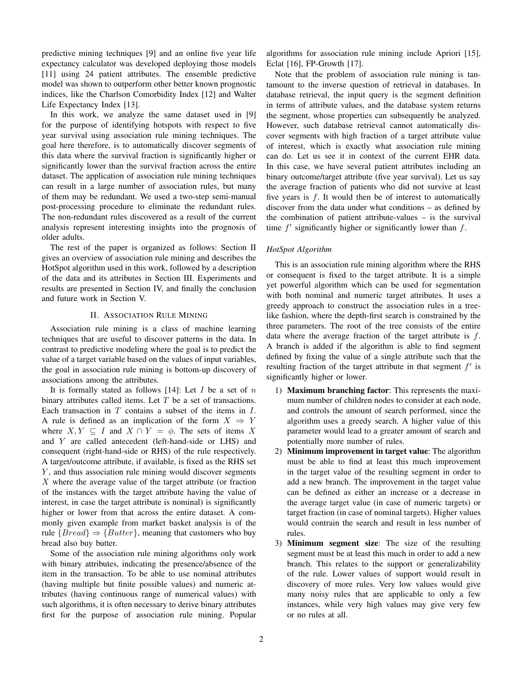predictive mining techniques [9] and an online five year life expectancy calculator was developed deploying those models [11] using 24 patient attributes. The ensemble predictive model was shown to outperform other better known prognostic indices, like the Charlson Comorbidity Index [12] and Walter Life Expectancy Index [13].

In this work, we analyze the same dataset used in [9] for the purpose of identifying hotspots with respect to five year survival using association rule mining techniques. The goal here therefore, is to automatically discover segments of this data where the survival fraction is significantly higher or significantly lower than the survival fraction across the entire dataset. The application of association rule mining techniques can result in a large number of association rules, but many of them may be redundant. We used a two-step semi-manual post-processing procedure to eliminate the redundant rules. The non-redundant rules discovered as a result of the current analysis represent interesting insights into the prognosis of older adults.

The rest of the paper is organized as follows: Section II gives an overview of association rule mining and describes the HotSpot algorithm used in this work, followed by a description of the data and its attributes in Section III. Experiments and results are presented in Section IV, and finally the conclusion and future work in Section V.

## II. ASSOCIATION RULE MINING

Association rule mining is a class of machine learning techniques that are useful to discover patterns in the data. In contrast to predictive modeling where the goal is to predict the value of a target variable based on the values of input variables, the goal in association rule mining is bottom-up discovery of associations among the attributes.

It is formally stated as follows [14]: Let  $I$  be a set of  $n$ binary attributes called items. Let  $T$  be a set of transactions. Each transaction in  $T$  contains a subset of the items in  $I$ . A rule is defined as an implication of the form  $X \Rightarrow Y$ where  $X, Y \subseteq I$  and  $X \cap Y = \phi$ . The sets of items X and Y are called antecedent (left-hand-side or LHS) and consequent (right-hand-side or RHS) of the rule respectively. A target/outcome attribute, if available, is fixed as the RHS set  $Y$ , and thus association rule mining would discover segments  $X$  where the average value of the target attribute (or fraction of the instances with the target attribute having the value of interest, in case the target attribute is nominal) is significantly higher or lower from that across the entire dataset. A commonly given example from market basket analysis is of the rule  ${Bread} \Rightarrow {Butter}$ , meaning that customers who buy bread also buy butter.

Some of the association rule mining algorithms only work with binary attributes, indicating the presence/absence of the item in the transaction. To be able to use nominal attributes (having multiple but finite possible values) and numeric attributes (having continuous range of numerical values) with such algorithms, it is often necessary to derive binary attributes first for the purpose of association rule mining. Popular algorithms for association rule mining include Apriori [15], Eclat [16], FP-Growth [17].

Note that the problem of association rule mining is tantamount to the inverse question of retrieval in databases. In database retrieval, the input query is the segment definition in terms of attribute values, and the database system returns the segment, whose properties can subsequently be analyzed. However, such database retrieval cannot automatically discover segments with high fraction of a target attribute value of interest, which is exactly what association rule mining can do. Let us see it in context of the current EHR data. In this case, we have several patient attributes including an binary outcome/target attribute (five year survival). Let us say the average fraction of patients who did not survive at least five years is  $f$ . It would then be of interest to automatically discover from the data under what conditions – as defined by the combination of patient attribute-values – is the survival time  $f'$  significantly higher or significantly lower than  $f$ .

## *HotSpot Algorithm*

This is an association rule mining algorithm where the RHS or consequent is fixed to the target attribute. It is a simple yet powerful algorithm which can be used for segmentation with both nominal and numeric target attributes. It uses a greedy approach to construct the association rules in a treelike fashion, where the depth-first search is constrained by the three parameters. The root of the tree consists of the entire data where the average fraction of the target attribute is f. A branch is added if the algorithm is able to find segment defined by fixing the value of a single attribute such that the resulting fraction of the target attribute in that segment  $f'$  is significantly higher or lower.

- 1) Maximum branching factor: This represents the maximum number of children nodes to consider at each node, and controls the amount of search performed, since the algorithm uses a greedy search. A higher value of this parameter would lead to a greater amount of search and potentially more number of rules.
- 2) Minimum improvement in target value: The algorithm must be able to find at least this much improvement in the target value of the resulting segment in order to add a new branch. The improvement in the target value can be defined as either an increase or a decrease in the average target value (in case of numeric targets) or target fraction (in case of nominal targets). Higher values would contrain the search and result in less number of rules.
- 3) Minimum segment size: The size of the resulting segment must be at least this much in order to add a new branch. This relates to the support or generalizability of the rule. Lower values of support would result in discovery of more rules. Very low values would give many noisy rules that are applicable to only a few instances, while very high values may give very few or no rules at all.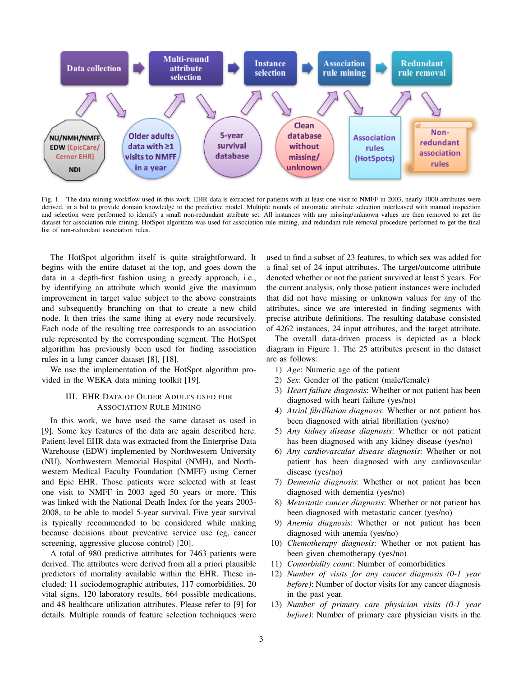

Fig. 1. The data mining workflow used in this work. EHR data is extracted for patients with at least one visit to NMFF in 2003, nearly 1000 attributes were derived, in a bid to provide domain knowledge to the predictive model. Multiple rounds of automatic attribute selection interleaved with manual inspection and selection were performed to identify a small non-redundant attribute set. All instances with any missing/unknown values are then removed to get the dataset for association rule mining. HotSpot algorithm was used for association rule mining, and redundant rule removal procedure performed to get the final list of non-redundant association rules.

The HotSpot algorithm itself is quite straightforward. It begins with the entire dataset at the top, and goes down the data in a depth-first fashion using a greedy approach, i.e., by identifying an attribute which would give the maximum improvement in target value subject to the above constraints and subsequently branching on that to create a new child node. It then tries the same thing at every node recursively. Each node of the resulting tree corresponds to an association rule represented by the corresponding segment. The HotSpot algorithm has previously been used for finding association rules in a lung cancer dataset [8], [18].

We use the implementation of the HotSpot algorithm provided in the WEKA data mining toolkit [19].

# III. EHR DATA OF OLDER ADULTS USED FOR ASSOCIATION RULE MINING

In this work, we have used the same dataset as used in [9]. Some key features of the data are again described here. Patient-level EHR data was extracted from the Enterprise Data Warehouse (EDW) implemented by Northwestern University (NU), Northwestern Memorial Hospital (NMH), and Northwestern Medical Faculty Foundation (NMFF) using Cerner and Epic EHR. Those patients were selected with at least one visit to NMFF in 2003 aged 50 years or more. This was linked with the National Death Index for the years 2003- 2008, to be able to model 5-year survival. Five year survival is typically recommended to be considered while making because decisions about preventive service use (eg, cancer screening, aggressive glucose control) [20].

A total of 980 predictive attributes for 7463 patients were derived. The attributes were derived from all a priori plausible predictors of mortality available within the EHR. These included: 11 sociodemographic attributes, 117 comorbidities, 20 vital signs, 120 laboratory results, 664 possible medications, and 48 healthcare utilization attributes. Please refer to [9] for details. Multiple rounds of feature selection techniques were

used to find a subset of 23 features, to which sex was added for a final set of 24 input attributes. The target/outcome attribute denoted whether or not the patient survived at least 5 years. For the current analysis, only those patient instances were included that did not have missing or unknown values for any of the attributes, since we are interested in finding segments with precise attribute definitions. The resulting database consisted of 4262 instances, 24 input attributes, and the target attribute.

The overall data-driven process is depicted as a block diagram in Figure 1. The 25 attributes present in the dataset are as follows:

- 1) *Age*: Numeric age of the patient
- 2) *Sex*: Gender of the patient (male/female)
- 3) *Heart failure diagnosis*: Whether or not patient has been diagnosed with heart failure (yes/no)
- 4) *Atrial fibrillation diagnosis*: Whether or not patient has been diagnosed with atrial fibrillation (yes/no)
- 5) *Any kidney disease diagnosis*: Whether or not patient has been diagnosed with any kidney disease (yes/no)
- 6) *Any cardiovascular disease diagnosis*: Whether or not patient has been diagnosed with any cardiovascular disease (yes/no)
- 7) *Dementia diagnosis*: Whether or not patient has been diagnosed with dementia (yes/no)
- 8) *Metastatic cancer diagnosis*: Whether or not patient has been diagnosed with metastatic cancer (yes/no)
- 9) *Anemia diagnosis*: Whether or not patient has been diagnosed with anemia (yes/no)
- 10) *Chemotherapy diagnosis*: Whether or not patient has been given chemotherapy (yes/no)
- 11) *Comorbidity count*: Number of comorbidities
- 12) *Number of visits for any cancer diagnosis (0-1 year before)*: Number of doctor visits for any cancer diagnosis in the past year.
- 13) *Number of primary care physician visits (0-1 year before)*: Number of primary care physician visits in the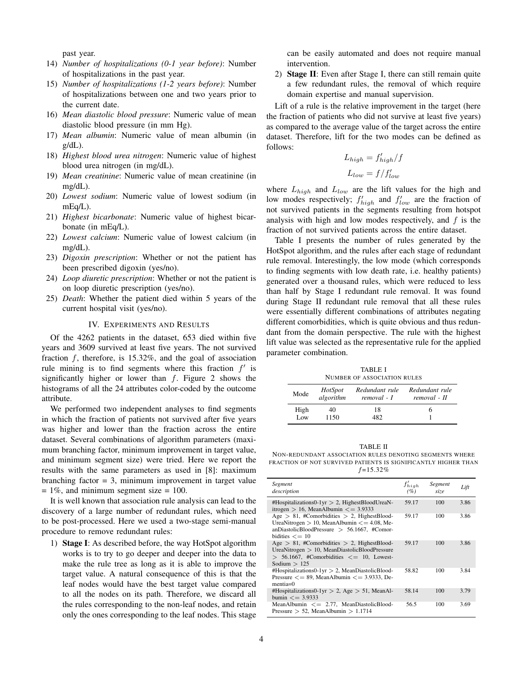past year.

- 14) *Number of hospitalizations (0-1 year before)*: Number of hospitalizations in the past year.
- 15) *Number of hospitalizations (1-2 years before)*: Number of hospitalizations between one and two years prior to the current date.
- 16) *Mean diastolic blood pressure*: Numeric value of mean diastolic blood pressure (in mm Hg).
- 17) *Mean albumin*: Numeric value of mean albumin (in  $g/dL$ ).
- 18) *Highest blood urea nitrogen*: Numeric value of highest blood urea nitrogen (in mg/dL).
- 19) *Mean creatinine*: Numeric value of mean creatinine (in mg/dL).
- 20) *Lowest sodium*: Numeric value of lowest sodium (in mEq/L).
- 21) *Highest bicarbonate*: Numeric value of highest bicarbonate (in mEq/L).
- 22) *Lowest calcium*: Numeric value of lowest calcium (in mg/dL).
- 23) *Digoxin prescription*: Whether or not the patient has been prescribed digoxin (yes/no).
- 24) *Loop diuretic prescription*: Whether or not the patient is on loop diuretic prescription (yes/no).
- 25) *Death*: Whether the patient died within 5 years of the current hospital visit (yes/no).

# IV. EXPERIMENTS AND RESULTS

Of the 4262 patients in the dataset, 653 died within five years and 3609 survived at least five years. The not survived fraction  $f$ , therefore, is 15.32%, and the goal of association rule mining is to find segments where this fraction  $f'$  is significantly higher or lower than  $f$ . Figure 2 shows the histograms of all the 24 attributes color-coded by the outcome attribute.

We performed two independent analyses to find segments in which the fraction of patients not survived after five years was higher and lower than the fraction across the entire dataset. Several combinations of algorithm parameters (maximum branching factor, minimum improvement in target value, and minimum segment size) were tried. Here we report the results with the same parameters as used in [8]: maximum branching factor  $= 3$ , minimum improvement in target value  $= 1\%$ , and minimum segment size  $= 100$ .

It is well known that association rule analysis can lead to the discovery of a large number of redundant rules, which need to be post-processed. Here we used a two-stage semi-manual procedure to remove redundant rules:

1) Stage I: As described before, the way HotSpot algorithm works is to try to go deeper and deeper into the data to make the rule tree as long as it is able to improve the target value. A natural consequence of this is that the leaf nodes would have the best target value compared to all the nodes on its path. Therefore, we discard all the rules corresponding to the non-leaf nodes, and retain only the ones corresponding to the leaf nodes. This stage can be easily automated and does not require manual intervention.

2) Stage II: Even after Stage I, there can still remain quite a few redundant rules, the removal of which require domain expertise and manual supervision.

Lift of a rule is the relative improvement in the target (here the fraction of patients who did not survive at least five years) as compared to the average value of the target across the entire dataset. Therefore, lift for the two modes can be defined as follows:

$$
L_{high} = f'_{high} / f
$$

$$
L_{low} = f / f'_{low}
$$

where  $L_{high}$  and  $L_{low}$  are the lift values for the high and low modes respectively;  $f'_{high}$  and  $f'_{low}$  are the fraction of not survived patients in the segments resulting from hotspot analysis with high and low modes respectively, and  $f$  is the fraction of not survived patients across the entire dataset.

Table I presents the number of rules generated by the HotSpot algorithm, and the rules after each stage of redundant rule removal. Interestingly, the low mode (which corresponds to finding segments with low death rate, i.e. healthy patients) generated over a thousand rules, which were reduced to less than half by Stage I redundant rule removal. It was found during Stage II redundant rule removal that all these rules were essentially different combinations of attributes negating different comorbidities, which is quite obvious and thus redundant from the domain perspective. The rule with the highest lift value was selected as the representative rule for the applied parameter combination.

TABLE I NUMBER OF ASSOCIATION RULES

| <i>HotSpot</i><br>algorithm | Redundant rule<br>removal - I | Redundant rule<br>removal - II |
|-----------------------------|-------------------------------|--------------------------------|
| 40                          | 18                            |                                |
|                             | 1150                          | 482                            |

TABLE II NON-REDUNDANT ASSOCIATION RULES DENOTING SEGMENTS WHERE FRACTION OF NOT SURVIVED PATIENTS IS SIGNIFICANTLY HIGHER THAN  $f=15.32%$ 

| Segment<br>description                                                                                                                                                           | $f'_{high}$<br>(%) | Segment<br>size | Lift |
|----------------------------------------------------------------------------------------------------------------------------------------------------------------------------------|--------------------|-----------------|------|
| #Hospitalizations0-1yr $> 2$ , HighestBloodUreaN-<br>itrogen $> 16$ , MeanAlbumin $\lt = 3.9333$                                                                                 | 59.17              | 100             | 3.86 |
| Age $> 81$ , #Comorbidities $> 2$ , HighestBlood-<br>UreaNitrogen $> 10$ , MeanAlbumin $<= 4.08$ , Me-<br>anDiastolicBloodPressure $> 56.1667$ , #Comor-<br>bidities $\leq$ = 10 | 59.17              | 100             | 3.86 |
| Age $> 81$ , #Comorbidities $> 2$ , HighestBlood-<br>UreaNitrogen $> 10$ , MeanDiastolicBloodPressure<br>$> 56.1667$ , #Comorbidities $\lt= 10$ , Lowest-<br>Sodium $>125$       | 59.17              | 100             | 3.86 |
| #Hospitalizations0-1yr > 2, MeanDiastolicBlood-<br>Pressure $\leq$ = 89, MeanAlbumin $\leq$ = 3.9333, De-<br>$mentia=0$                                                          | 58.82              | 100             | 3.84 |
| #Hospitalizations0-1yr $> 2$ , Age $> 51$ , MeanAl-<br>bumin $\leq$ = 3.9333                                                                                                     | 58.14              | 100             | 3.79 |
| MeanAlbumin $\leq$ 2.77, MeanDiastolicBlood-<br>Pressure $> 52$ , MeanAlbumin $> 1.1714$                                                                                         | 56.5               | 100             | 3.69 |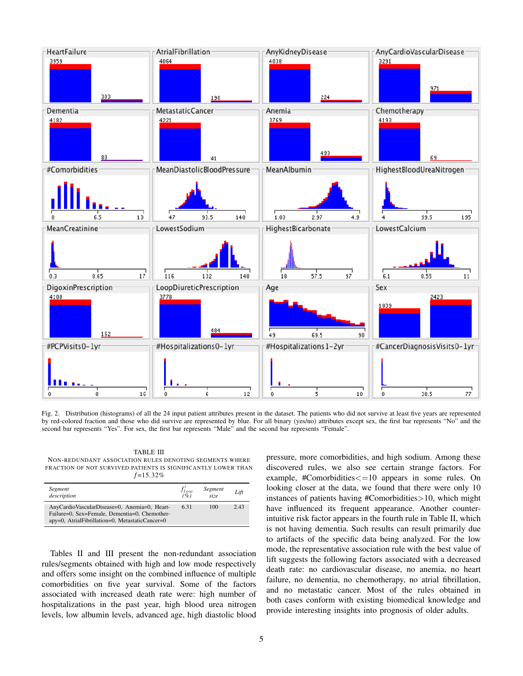

Fig. 2. Distribution (histograms) of all the 24 input patient attributes present in the dataset. The patients who did not survive at least five years are represented by red-colored fraction and those who did survive are represented by blue. For all binary (yes/no) attributes except sex, the first bar represents "No" and the second bar represents "Yes". For sex, the first bar represents "Male" and the second bar represents "Female".

TABLE III NON-REDUNDANT ASSOCIATION RULES DENOTING SEGMENTS WHERE FRACTION OF NOT SURVIVED PATIENTS IS SIGNIFICANTLY LOWER THAN  $f=15.32%$ 

| Segment<br>description                                                                                                                           | $f'_{low}$<br>(%) | Segment<br>size | Lift |
|--------------------------------------------------------------------------------------------------------------------------------------------------|-------------------|-----------------|------|
| AnyCardioVascularDisease=0, Anemia=0, Heart-<br>Failure=0, Sex=Female, Dementia=0, Chemother-<br>apy=0, AtrialFibrillation=0, MetastaticCancer=0 | 6.31              | 100             | 2.43 |

Tables II and III present the non-redundant association rules/segments obtained with high and low mode respectively and offers some insight on the combined influence of multiple comorbidities on five year survival. Some of the factors associated with increased death rate were: high number of hospitalizations in the past year, high blood urea nitrogen levels, low albumin levels, advanced age, high diastolic blood

pressure, more comorbidities, and high sodium. Among these discovered rules, we also see certain strange factors. For example, #Comorbidities<=10 appears in some rules. On looking closer at the data, we found that there were only 10 instances of patients having #Comorbidities>10, which might have influenced its frequent appearance. Another counterintuitive risk factor appears in the fourth rule in Table II, which is not having dementia. Such results can result primarily due to artifacts of the specific data being analyzed. For the low mode, the representative association rule with the best value of lift suggests the following factors associated with a decreased death rate: no cardiovascular disease, no anemia, no heart failure, no dementia, no chemotherapy, no atrial fibrillation, and no metastatic cancer. Most of the rules obtained in both cases conform with existing biomedical knowledge and provide interesting insights into prognosis of older adults.